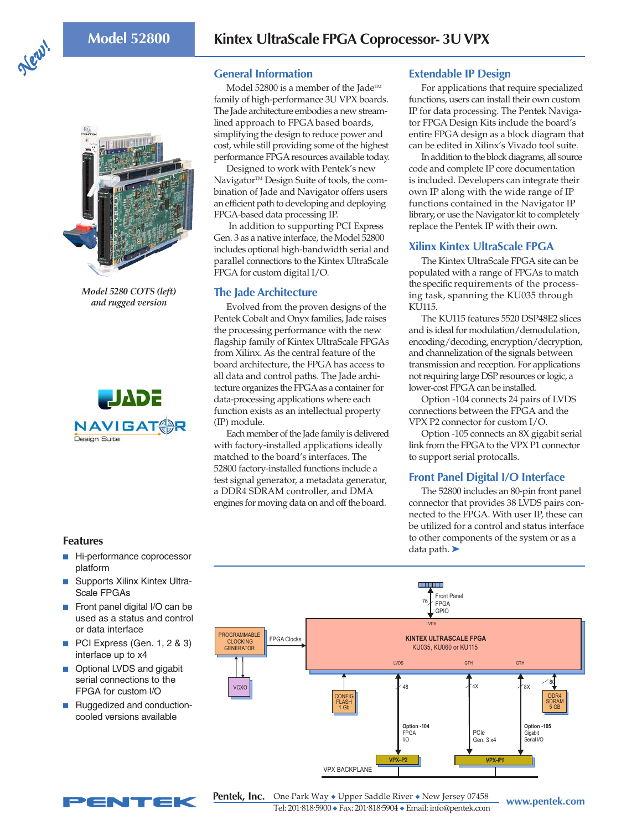



*Model 5280 COTS (left) and rugged version*



### **General Information**

Model 52800 is a member of the Jade™ family of high-performance 3U VPX boards. The Jade architecture embodies a new streamlined approach to FPGA based boards, simplifying the design to reduce power and cost, while still providing some of the highest performance FPGA resources available today.

Designed to work with Pentek's new Navigator<sup>™</sup> Design Suite of tools, the combination of Jade and Navigator offers users an efficient path to developing and deploying FPGA-based data processing IP.

 In addition to supporting PCI Express Gen. 3 as a native interface, the Model 52800 includes optional high-bandwidth serial and parallel connections to the Kintex UltraScale FPGA for custom digital I/O.

### **The Jade Architecture**

Evolved from the proven designs of the Pentek Cobalt and Onyx families, Jade raises the processing performance with the new flagship family of Kintex UltraScale FPGAs from Xilinx. As the central feature of the board architecture, the FPGA has access to all data and control paths. The Jade architecture organizes the FPGA as a container for data-processing applications where each function exists as an intellectual property (IP) module.

Each member of the Jade family is delivered with factory-installed applications ideally matched to the board's interfaces. The 52800 factory-installed functions include a test signal generator, a metadata generator, a DDR4 SDRAM controller, and DMA engines for moving data on and off the board.

#### **Extendable IP Design**

For applications that require specialized functions, users can install their own custom IP for data processing. The Pentek Navigator FPGA Design Kits include the board's entire FPGA design as a block diagram that can be edited in Xilinx's Vivado tool suite.

In addition to the block diagrams, all source code and complete IP core documentation is included. Developers can integrate their own IP along with the wide range of IP functions contained in the Navigator IP library, or use the Navigator kit to completely replace the Pentek IP with their own.

### **Xilinx Kintex UltraScale FPGA**

The Kintex UltraScale FPGA site can be populated with a range of FPGAs to match the specific requirements of the processing task, spanning the KU035 through KU115.

The KU115 features 5520 DSP48E2 slices and is ideal for modulation/demodulation, encoding/decoding, encryption/decryption, and channelization of the signals between transmission and reception. For applications not requiring large DSP resources or logic, a lower-cost FPGA can be installed.

Option -104 connects 24 pairs of LVDS connections between the FPGA and the VPX P2 connector for custom I/O.

Option -105 connects an 8X gigabit serial link from the FPGA to the VPX P1 connector to support serial protocalls.

# **Front Panel Digital I/O Interface**

The 52800 includes an 80-pin front panel connector that provides 38 LVDS pairs connected to the FPGA. With user IP, these can be utilized for a control and status interface to other components of the system or as a data path. ➤



#### **Features**

- Hi-performance coprocessor platform
- Supports Xilinx Kintex Ultra-Scale FPGAs
- Front panel digital I/O can be used as a status and control or data interface
- PCI Express (Gen. 1, 2 & 3) interface up to x4
- Optional LVDS and gigabit serial connections to the FPGA for custom I/O
- Ruggedized and conductioncooled versions available

NTEK

**www.pentek.com** One Park Way ◆ Upper Saddle River ◆ New Jersey 07458 Tel: 201. 818. 5900 ◆ Fax: 201. 818. 5904 ◆ Email: info@pentek.com **Pentek, Inc.**